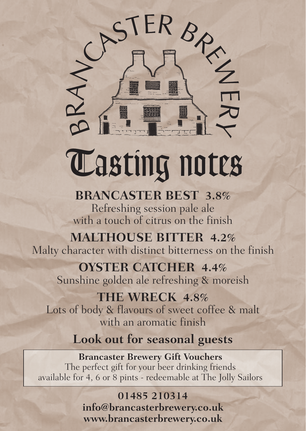

# **Tasting notes**

## **BRANCASTER BEST 3.8%**

Refreshing session pale ale with a touch of citrus on the finish

## **MALTHOUSE BITTER 4.2%**

Malty character with distinct bitterness on the finish

#### **OYSTER CATCHER 4.4%**  Sunshine golden ale refreshing & moreish

#### **THE WRECK 4.8%**

Lots of body & flavours of sweet coffee & malt with an aromatic finish

# **Look out for seasonal guests**

#### **Brancaster Brewery Gift Vouchers** The perfect gift for your beer drinking friends available for 4, 6 or 8 pints - redeemable at The Jolly Sailors

#### **01485 210314**

**info@brancasterbrewery.co.uk www.brancasterbrewery.co.uk**